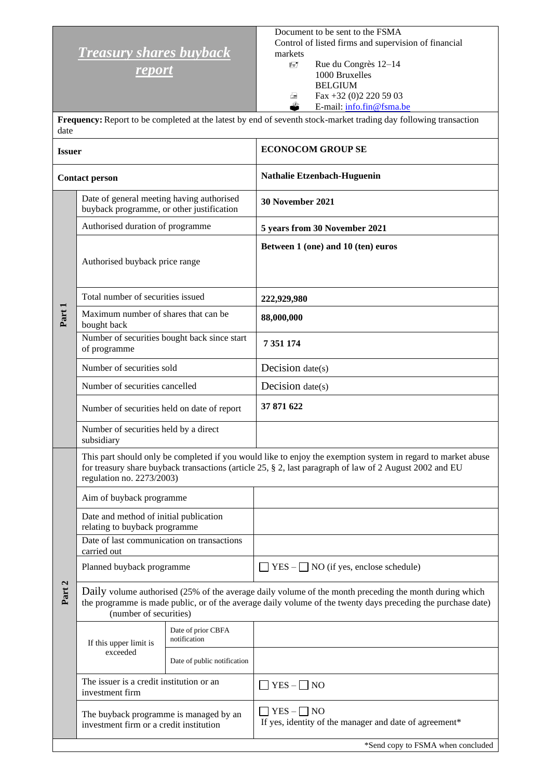## *Treasury shares buyback*

*report*

Document to be sent to the FSMA Control of listed firms and supervision of financial markets

 Rue du Congrès 12–14 1000 Bruxelles BELGIUM  $\triangle$  Fax +32 (0)2 220 59 03<br>
E-mail: info.fin@fsma.b E-mail: [info.fin@fsma.be](mailto:info.fin@fsma.be)

**Frequency:**Report to be completed at the latest by end of seventh stock-market trading day following transaction date

| <b>Issuer</b>         |                                                                                        |                                    | <b>ECONOCOM GROUP SE</b>                                                                                                                                                                                                |  |  |
|-----------------------|----------------------------------------------------------------------------------------|------------------------------------|-------------------------------------------------------------------------------------------------------------------------------------------------------------------------------------------------------------------------|--|--|
| <b>Contact person</b> |                                                                                        |                                    | Nathalie Etzenbach-Huguenin                                                                                                                                                                                             |  |  |
| Part 1                | Date of general meeting having authorised<br>buyback programme, or other justification |                                    | 30 November 2021                                                                                                                                                                                                        |  |  |
|                       | Authorised duration of programme                                                       |                                    | 5 years from 30 November 2021                                                                                                                                                                                           |  |  |
|                       | Authorised buyback price range                                                         |                                    | Between 1 (one) and 10 (ten) euros                                                                                                                                                                                      |  |  |
|                       | Total number of securities issued                                                      |                                    | 222,929,980                                                                                                                                                                                                             |  |  |
|                       | Maximum number of shares that can be<br>bought back                                    |                                    | 88,000,000                                                                                                                                                                                                              |  |  |
|                       | Number of securities bought back since start<br>of programme                           |                                    | 7 351 174                                                                                                                                                                                                               |  |  |
|                       | Number of securities sold                                                              |                                    | Decision $date(s)$                                                                                                                                                                                                      |  |  |
|                       | Number of securities cancelled                                                         |                                    | Decision $date(s)$                                                                                                                                                                                                      |  |  |
|                       | Number of securities held on date of report                                            |                                    | 37 871 622                                                                                                                                                                                                              |  |  |
|                       | Number of securities held by a direct<br>subsidiary                                    |                                    |                                                                                                                                                                                                                         |  |  |
|                       | regulation no. 2273/2003)                                                              |                                    | This part should only be completed if you would like to enjoy the exemption system in regard to market abuse<br>for treasury share buyback transactions (article 25, § 2, last paragraph of law of 2 August 2002 and EU |  |  |
|                       | Aim of buyback programme                                                               |                                    |                                                                                                                                                                                                                         |  |  |
|                       | Date and method of initial publication<br>relating to buyback programme                |                                    |                                                                                                                                                                                                                         |  |  |
|                       | Date of last communication on transactions<br>carried out                              |                                    |                                                                                                                                                                                                                         |  |  |
| Part 2                | Planned buyback programme                                                              |                                    | $YES -$ NO (if yes, enclose schedule)                                                                                                                                                                                   |  |  |
|                       | (number of securities)                                                                 |                                    | Daily volume authorised (25% of the average daily volume of the month preceding the month during which<br>the programme is made public, or of the average daily volume of the twenty days preceding the purchase date)  |  |  |
|                       | If this upper limit is<br>exceeded                                                     | Date of prior CBFA<br>notification |                                                                                                                                                                                                                         |  |  |
|                       |                                                                                        | Date of public notification        |                                                                                                                                                                                                                         |  |  |
|                       | The issuer is a credit institution or an<br>investment firm                            |                                    | $YES - \Box NO$                                                                                                                                                                                                         |  |  |
|                       | The buyback programme is managed by an<br>investment firm or a credit institution      |                                    | $YES - \Box NO$<br>If yes, identity of the manager and date of agreement*                                                                                                                                               |  |  |
|                       |                                                                                        |                                    | *Send copy to FSMA when concluded                                                                                                                                                                                       |  |  |